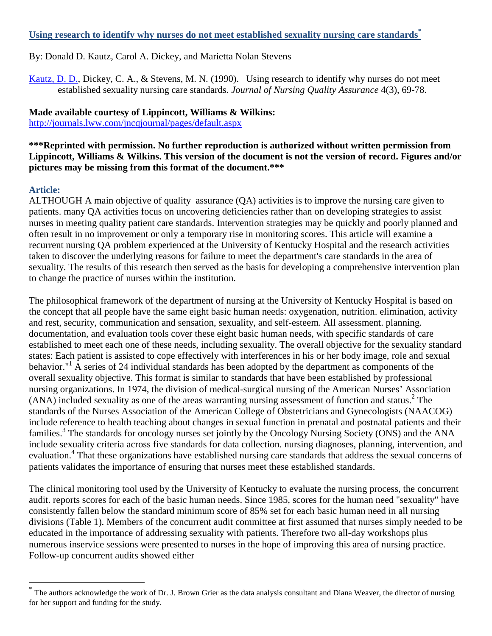### **Using research to identify why nurses do not meet established sexuality nursing care standards\***

## By: Donald D. Kautz, Carol A. Dickey, and Marietta Nolan Stevens

[Kautz, D. D.,](http://libres.uncg.edu/ir/uncg/clist.aspx?id=1673) Dickey, C. A., & Stevens, M. N. (1990). Using research to identify why nurses do not meet established sexuality nursing care standards*. Journal of Nursing Quality Assurance* 4(3), 69-78.

# **Made available courtesy of Lippincott, Williams & Wilkins:**

<http://journals.lww.com/jncqjournal/pages/default.aspx>

## **\*\*\*Reprinted with permission. No further reproduction is authorized without written permission from Lippincott, Williams & Wilkins. This version of the document is not the version of record. Figures and/or pictures may be missing from this format of the document.\*\*\***

# **Article:**

 $\overline{a}$ 

ALTHOUGH A main objective of quality assurance (QA) activities is to improve the nursing care given to patients. many QA activities focus on uncovering deficiencies rather than on developing strategies to assist nurses in meeting quality patient care standards. Intervention strategies may be quickly and poorly planned and often result in no improvement or only a temporary rise in monitoring scores. This article will examine a recurrent nursing QA problem experienced at the University of Kentucky Hospital and the research activities taken to discover the underlying reasons for failure to meet the department's care standards in the area of sexuality. The results of this research then served as the basis for developing a comprehensive intervention plan to change the practice of nurses within the institution.

The philosophical framework of the department of nursing at the University of Kentucky Hospital is based on the concept that all people have the same eight basic human needs: oxygenation, nutrition. elimination, activity and rest, security, communication and sensation, sexuality, and self-esteem. All assessment. planning. documentation, and evaluation tools cover these eight basic human needs, with specific standards of care established to meet each one of these needs, including sexuality. The overall objective for the sexuality standard states: Each patient is assisted to cope effectively with interferences in his or her body image, role and sexual behavior."<sup>1</sup> A series of 24 individual standards has been adopted by the department as components of the overall sexuality objective. This format is similar to standards that have been established by professional nursing organizations. In 1974, the division of medical-surgical nursing of the American Nurses' Association (ANA) included sexuality as one of the areas warranting nursing assessment of function and status.<sup>2</sup> The standards of the Nurses Association of the American College of Obstetricians and Gynecologists (NAACOG) include reference to health teaching about changes in sexual function in prenatal and postnatal patients and their families.<sup>3</sup> The standards for oncology nurses set jointly by the Oncology Nursing Society (ONS) and the ANA include sexuality criteria across five standards for data collection. nursing diagnoses, planning, intervention, and evaluation.<sup>4</sup> That these organizations have established nursing care standards that address the sexual concerns of patients validates the importance of ensuring that nurses meet these established standards.

The clinical monitoring tool used by the University of Kentucky to evaluate the nursing process, the concurrent audit. reports scores for each of the basic human needs. Since 1985, scores for the human need ''sexuality" have consistently fallen below the standard minimum score of 85% set for each basic human need in all nursing divisions (Table 1). Members of the concurrent audit committee at first assumed that nurses simply needed to be educated in the importance of addressing sexuality with patients. Therefore two all-day workshops plus numerous inservice sessions were presented to nurses in the hope of improving this area of nursing practice. Follow-up concurrent audits showed either

<sup>\*</sup> The authors acknowledge the work of Dr. J. Brown Grier as the data analysis consultant and Diana Weaver, the director of nursing for her support and funding for the study.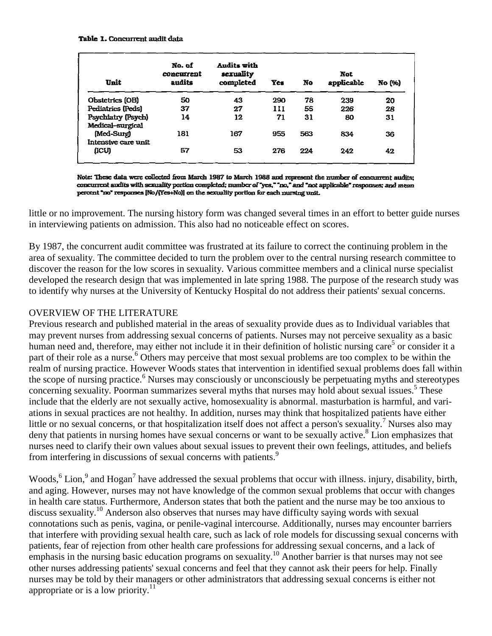#### Table 1. Concurrent audit data

| Unit                                   | No. of<br>concutrent<br>audits | Audits with<br>sexuality<br>completed | <b>Yes</b>     | No  | <b>Not</b><br>applicable | No (%) |
|----------------------------------------|--------------------------------|---------------------------------------|----------------|-----|--------------------------|--------|
| Obstetrics (OB)                        | 50                             | 43                                    | 290            | 78  | 239                      | 20     |
| Pediatrics (Peds)                      | 37                             | 27                                    | $\mathbf{111}$ | 55  | 226                      | 28     |
| Psychiatry (Psych)<br>Medical-surgical | 14                             | 12                                    | 71             | 31  | 80                       | 31     |
| (Med-Surg)<br>Intensive care unit      | 181                            | 167                                   | 955            | 563 | 834                      | 36     |
| (ICU)                                  | 57                             | 53                                    | 276            | 224 | 242                      | 42     |

Note: These data were collected from March 1987 to March 1988 and represent the number of concurrent audits; concurrent audits with sexuality portion completed; number of "yes," "no," and "not applicable" responses; and mean percent "no" responses [No/(Yes+No)] on the sexuality portion for each nursing unit.

little or no improvement. The nursing history form was changed several times in an effort to better guide nurses in interviewing patients on admission. This also had no noticeable effect on scores.

By 1987, the concurrent audit committee was frustrated at its failure to correct the continuing problem in the area of sexuality. The committee decided to turn the problem over to the central nursing research committee to discover the reason for the low scores in sexuality. Various committee members and a clinical nurse specialist developed the research design that was implemented in late spring 1988. The purpose of the research study was to identify why nurses at the University of Kentucky Hospital do not address their patients' sexual concerns.

# OVERVIEW OF THE LITERATURE

Previous research and published material in the areas of sexuality provide dues as to Individual variables that may prevent nurses from addressing sexual concerns of patients. Nurses may not perceive sexuality as a basic human need and, therefore, may either not include it in their definition of holistic nursing care<sup>5</sup> or consider it a part of their role as a nurse.<sup>6</sup> Others may perceive that most sexual problems are too complex to be within the realm of nursing practice. However Woods states that intervention in identified sexual problems does fall within the scope of nursing practice.<sup>6</sup> Nurses may consciously or unconsciously be perpetuating myths and stereotypes concerning sexuality. Poorman summarizes several myths that nurses may hold about sexual issues.<sup>5</sup> These include that the elderly are not sexually active, homosexuality is abnormal. masturbation is harmful, and variations in sexual practices are not healthy. In addition, nurses may think that hospitalized patients have either little or no sexual concerns, or that hospitalization itself does not affect a person's sexuality.<sup>7</sup> Nurses also may deny that patients in nursing homes have sexual concerns or want to be sexually active.<sup>8</sup> Lion emphasizes that nurses need to clarify their own values about sexual issues to prevent their own feelings, attitudes, and beliefs from interfering in discussions of sexual concerns with patients.<sup>9</sup>

Woods,  $6$  Lion,  $9$  and Hogan<sup>7</sup> have addressed the sexual problems that occur with illness. injury, disability, birth, and aging. However, nurses may not have knowledge of the common sexual problems that occur with changes in health care status. Furthermore, Anderson states that both the patient and the nurse may be too anxious to discuss sexuality.<sup>10</sup> Anderson also observes that nurses may have difficulty saying words with sexual connotations such as penis, vagina, or penile-vaginal intercourse. Additionally, nurses may encounter barriers that interfere with providing sexual health care, such as lack of role models for discussing sexual concerns with patients, fear of rejection from other health care professions for addressing sexual concerns, and a lack of emphasis in the nursing basic education programs on sexuality.<sup>10</sup> Another barrier is that nurses may not see other nurses addressing patients' sexual concerns and feel that they cannot ask their peers for help. Finally nurses may be told by their managers or other administrators that addressing sexual concerns is either not appropriate or is a low priority.<sup>11</sup>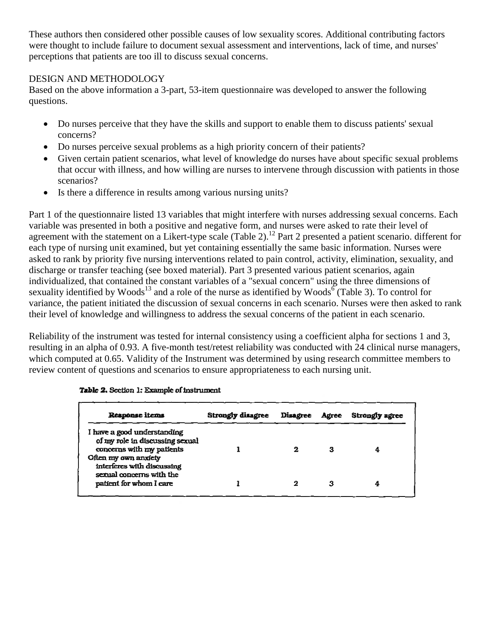These authors then considered other possible causes of low sexuality scores. Additional contributing factors were thought to include failure to document sexual assessment and interventions, lack of time, and nurses' perceptions that patients are too ill to discuss sexual concerns.

## DESIGN AND METHODOLOGY

Based on the above information a 3-part, 53-item questionnaire was developed to answer the following questions.

- Do nurses perceive that they have the skills and support to enable them to discuss patients' sexual concerns?
- Do nurses perceive sexual problems as a high priority concern of their patients?
- Given certain patient scenarios, what level of knowledge do nurses have about specific sexual problems that occur with illness, and how willing are nurses to intervene through discussion with patients in those scenarios?
- Is there a difference in results among various nursing units?

Part 1 of the questionnaire listed 13 variables that might interfere with nurses addressing sexual concerns. Each variable was presented in both a positive and negative form, and nurses were asked to rate their level of agreement with the statement on a Likert-type scale (Table 2).<sup>12</sup> Part 2 presented a patient scenario. different for each type of nursing unit examined, but yet containing essentially the same basic information. Nurses were asked to rank by priority five nursing interventions related to pain control, activity, elimination, sexuality, and discharge or transfer teaching (see boxed material). Part 3 presented various patient scenarios, again individualized, that contained the constant variables of a "sexual concern" using the three dimensions of sexuality identified by Woods<sup>13</sup> and a role of the nurse as identified by Woods<sup>6</sup> (Table 3). To control for variance, the patient initiated the discussion of sexual concerns in each scenario. Nurses were then asked to rank their level of knowledge and willingness to address the sexual concerns of the patient in each scenario.

Reliability of the instrument was tested for internal consistency using a coefficient alpha for sections 1 and 3, resulting in an alpha of 0.93. A five-month test/retest reliability was conducted with 24 clinical nurse managers, which computed at 0.65. Validity of the Instrument was determined by using research committee members to review content of questions and scenarios to ensure appropriateness to each nursing unit.

| Response items                                                                                                                                    | <b>Strongly disagree</b> | <b>Disagree</b> | <b>Agree</b> | Strongly agree |
|---------------------------------------------------------------------------------------------------------------------------------------------------|--------------------------|-----------------|--------------|----------------|
| I have a good understanding<br>of my role in discussing sexual<br>concerns with my patients<br>Often my own anxiety<br>interferes with discussing |                          |                 | з            | 4              |
| sexual concerns with the<br>patient for whom I care                                                                                               |                          |                 | з            | 4              |

### Table 2. Section 1: Example of instrument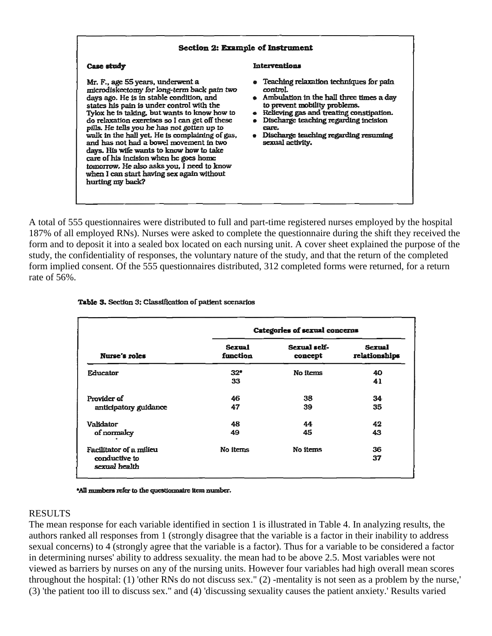| <b>Section 2: Example of Instrument</b>                                                                                                                                                                                                                                                                                                                                                                                                                                                                                                                                                                                       |                                                                                                                                                                                                                                                                                                                           |  |  |  |  |  |  |
|-------------------------------------------------------------------------------------------------------------------------------------------------------------------------------------------------------------------------------------------------------------------------------------------------------------------------------------------------------------------------------------------------------------------------------------------------------------------------------------------------------------------------------------------------------------------------------------------------------------------------------|---------------------------------------------------------------------------------------------------------------------------------------------------------------------------------------------------------------------------------------------------------------------------------------------------------------------------|--|--|--|--|--|--|
| Case study                                                                                                                                                                                                                                                                                                                                                                                                                                                                                                                                                                                                                    | <b>Interventions</b>                                                                                                                                                                                                                                                                                                      |  |  |  |  |  |  |
| Mr. F., age 55 years, underwent a<br>microdiskectomy for long-term back pain two<br>days ago. He is in stable condition, and<br>states his pain is under control with the<br>Tylox he is taking, but wants to know how to<br>do relaxation exercises so I can get off these<br>pills. He tells you he has not gotten up to<br>walk in the hall yet. He is complaining of gas,<br>and has not had a bowel movement in two<br>days. His wife wants to know how to take<br>care of his incision when he goes home<br>tomorrow. He also asks you, I need to know<br>when I can start having sex again without<br>hurting my back? | • Teaching relaxation techniques for pain<br>control.<br>• Ambulation in the hall three times a day<br>to prevent mobility problems.<br>Relieving gas and treating constipation.<br>$\bullet$<br>Discharge teaching regarding incision<br>care.<br>Discharge teaching regarding resuming<br>$\bullet$<br>sexual activity. |  |  |  |  |  |  |

A total of 555 questionnaires were distributed to full and part-time registered nurses employed by the hospital 187% of all employed RNs). Nurses were asked to complete the questionnaire during the shift they received the form and to deposit it into a sealed box located on each nursing unit. A cover sheet explained the purpose of the study, the confidentiality of responses, the voluntary nature of the study, and that the return of the completed form implied consent. Of the 555 questionnaires distributed, 312 completed forms were returned, for a return rate of 56%.

|                                | Categories of sexual concerns |                         |                                      |  |  |  |  |  |
|--------------------------------|-------------------------------|-------------------------|--------------------------------------|--|--|--|--|--|
| <b>Nurse's roles</b>           | <b>Sexual</b><br>function     | Sexual self-<br>concept | <b>Sexual</b><br>relationships<br>40 |  |  |  |  |  |
| <b>Educator</b>                | $32*$                         | No items                |                                      |  |  |  |  |  |
|                                | 33                            |                         | 41                                   |  |  |  |  |  |
| Provider of                    | 46                            | 38                      | 34                                   |  |  |  |  |  |
| anticipatory guidance          | 47                            | 39                      | 35                                   |  |  |  |  |  |
| Validator                      | 48                            | 44                      | 42                                   |  |  |  |  |  |
| of normalcy                    | 49                            | 45                      | 43                                   |  |  |  |  |  |
| Facilitator of a milieu        | No items                      | No items                | 36                                   |  |  |  |  |  |
| conductive to<br>sexual health |                               |                         | 37                                   |  |  |  |  |  |

#### Table 3. Section 3: Classification of patient scenarios

\*All numbers refer to the questionnaire item number.

### RESULTS

The mean response for each variable identified in section 1 is illustrated in Table 4. In analyzing results, the authors ranked all responses from 1 (strongly disagree that the variable is a factor in their inability to address sexual concerns) to 4 (strongly agree that the variable is a factor). Thus for a variable to be considered a factor in determining nurses' ability to address sexuality. the mean had to be above 2.5. Most variables were not viewed as barriers by nurses on any of the nursing units. However four variables had high overall mean scores throughout the hospital: (1) 'other RNs do not discuss sex." (2) -mentality is not seen as a problem by the nurse,' (3) 'the patient too ill to discuss sex." and (4) 'discussing sexuality causes the patient anxiety.' Results varied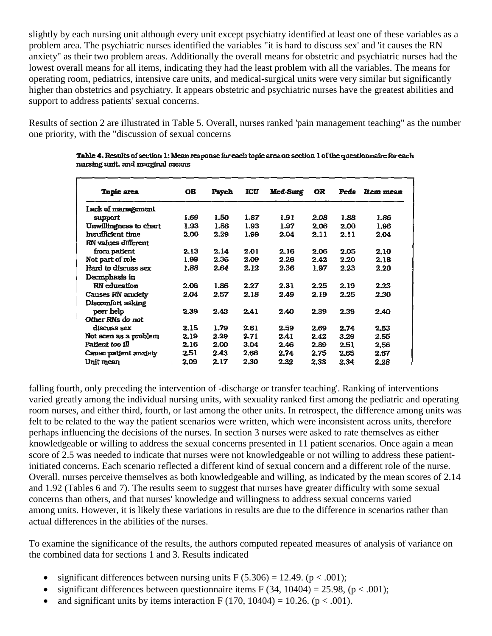slightly by each nursing unit although every unit except psychiatry identified at least one of these variables as a problem area. The psychiatric nurses identified the variables "it is hard to discuss sex' and 'it causes the RN anxiety" as their two problem areas. Additionally the overall means for obstetric and psychiatric nurses had the lowest overall means for all items, indicating they had the least problem with all the variables. The means for operating room, pediatrics, intensive care units, and medical-surgical units were very similar but significantly higher than obstetrics and psychiatry. It appears obstetric and psychiatric nurses have the greatest abilities and support to address patients' sexual concerns.

Results of section 2 are illustrated in Table 5. Overall, nurses ranked 'pain management teaching" as the number one priority, with the "discussion of sexual concerns

|                              | <b>OB</b> |       |      |          |           | Peds |           |
|------------------------------|-----------|-------|------|----------|-----------|------|-----------|
| <b>Topic area</b>            |           | Psych | ICU  | Med-Surg | <b>OR</b> |      | Item mean |
| Lack of management           |           |       |      |          |           |      |           |
| support                      | 1.69      | 1.50  | 1.87 | 1.91     | 2.08      | 1.88 | 1.86      |
| Unwillingness to chart       | 1.93      | 1.86  | 1.93 | 1.97     | 2.06      | 2.00 | 1.96      |
| Insufficient time            | 2.00      | 2.29  | 1.99 | 2.04     | 2.11      | 2.11 | 2.04      |
| RN values different          |           |       |      |          |           |      |           |
| from patient                 | 2.13      | 2.14  | 2.01 | 2.16     | 2.06      | 2.05 | 2.10      |
| Not part of role             | 1.99      | 2.36  | 2.09 | 2.26     | 2.42      | 2.20 | 2.18      |
| Hard to discuss sex          | 1.88      | 2.64  | 2.12 | 2.36     | 1.97      | 2.23 | 2.20      |
| Deemphasis in                |           |       |      |          |           |      |           |
| <b>RN</b> education          | 2.06      | 1.86  | 2.27 | 2.31     | 2.25      | 2.19 | 2.23      |
| Causes RN anxiety            | 2.04      | 2.57  | 2.18 | 2.49     | 2.19      | 2.25 | 2.30      |
| Discomfort asking            |           |       |      |          |           |      |           |
| peer help                    | 2.39      | 2.43  | 2.41 | 2.40     | 2.39      | 2.39 | 2.40      |
| Other RNs do not             |           |       |      |          |           |      |           |
| discuss sex                  | 2.15      | 1.79  | 2.61 | 2.59     | 2.69      | 2.74 | 2.53      |
| Not seen as a problem        | 2.19      | 2.29  | 2.71 | 2.41     | 2.42      | 3.29 | 2.55      |
| Patient too ill              | 2.16      | 2.00  | 3.04 | 2.46     | 2.89      | 2.51 | 2.56      |
| <b>Cause patient anxiety</b> | 2.51      | 2.43  | 2.66 | 2.74     | 2.75      | 2.65 | 2.67      |
| Unit mean                    | 2.09      | 2.17  | 2.30 | 2.32     | 2.33      | 2.34 | 2.28      |

Table 4. Results of section 1: Mean response for each topic area on section 1 of the questionnaire for each nursing unit, and marginal means

falling fourth, only preceding the intervention of -discharge or transfer teaching'. Ranking of interventions varied greatly among the individual nursing units, with sexuality ranked first among the pediatric and operating room nurses, and either third, fourth, or last among the other units. In retrospect, the difference among units was felt to be related to the way the patient scenarios were written, which were inconsistent across units, therefore perhaps influencing the decisions of the nurses. In section 3 nurses were asked to rate themselves as either knowledgeable or willing to address the sexual concerns presented in 11 patient scenarios. Once again a mean score of 2.5 was needed to indicate that nurses were not knowledgeable or not willing to address these patientinitiated concerns. Each scenario reflected a different kind of sexual concern and a different role of the nurse. Overall. nurses perceive themselves as both knowledgeable and willing, as indicated by the mean scores of 2.14 and 1.92 (Tables 6 and 7). The results seem to suggest that nurses have greater difficulty with some sexual concerns than others, and that nurses' knowledge and willingness to address sexual concerns varied among units. However, it is likely these variations in results are due to the difference in scenarios rather than actual differences in the abilities of the nurses.

To examine the significance of the results, the authors computed repeated measures of analysis of variance on the combined data for sections 1 and 3. Results indicated

- significant differences between nursing units  $F(5.306) = 12.49$ . ( $p < .001$ );
- significant differences between questionnaire items F (34, 10404) = 25.98, ( $p < .001$ );
- and significant units by items interaction F (170, 10404) = 10.26. ( $p < .001$ ).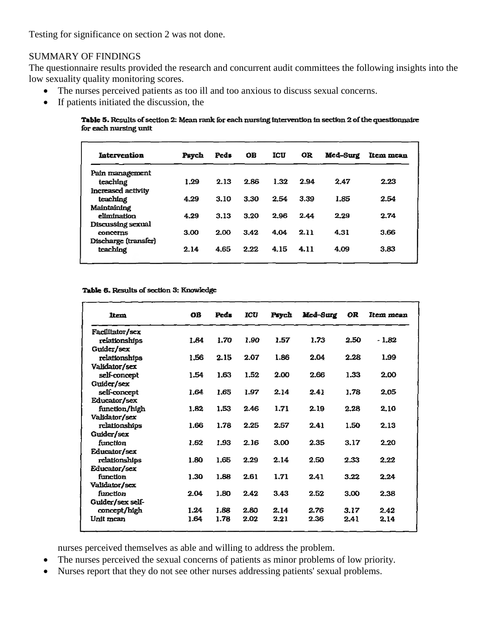Testing for significance on section 2 was not done.

### SUMMARY OF FINDINGS

The questionnaire results provided the research and concurrent audit committees the following insights into the low sexuality quality monitoring scores.

- The nurses perceived patients as too ill and too anxious to discuss sexual concerns.
- If patients initiated the discussion, the

Table 5. Results of section 2: Mean rank for each nursing intervention in section 2 of the questionnaire for each nursing unit

| Intervention              | Psych | Peds | <b>OB</b> | <b>ICU</b> | <b>OR</b> | Med-Surg | Item mean |
|---------------------------|-------|------|-----------|------------|-----------|----------|-----------|
| Pain management           |       |      |           |            |           |          |           |
| teaching                  | 1.29  | 2.13 | 2.86      | 1.32       | 2.94      | 2.47     | 2.23      |
| <b>Increased activity</b> |       |      |           |            |           |          |           |
| teaching                  | 4.29  | 3.10 | 3.30      | 2.54       | 3.39      | 1.85     | 2.54      |
| Maintaining               |       |      |           |            |           |          |           |
| elimination               | 4.29  | 3.13 | 3.20      | 2.96       | 2.44      | 2.29     | 2.74      |
| <b>Discussing sexual</b>  |       |      |           |            |           |          |           |
| concerns                  | 3.00  | 2.00 | 3.42      | 4.04       | 2.11      | 4.31     | 3.66      |
| Discharge (transfer)      |       |      |           |            |           |          |           |
| teaching                  | 2.14  | 4.65 | 2.22      | 4.15       | 4.11      | 4.09     | 3.83      |
|                           |       |      |           |            |           |          |           |

#### Table 6. Results of section 3: Knowledge

| ltem             | <b>OB</b> | Peds | <b>ICU</b> | Psych | Mcd-Surg | <b>OR</b> | Item mean |
|------------------|-----------|------|------------|-------|----------|-----------|-----------|
| Facilitator/sex  |           |      |            |       |          |           |           |
| relationships    | 1.84      | 1.70 | 1.90       | 1.57  | 1.73     | 2.50      | $-1.82$   |
| Guider/sex       |           |      |            |       |          |           |           |
| relationships    | 1.56      | 2.15 | 2.07       | 1.86  | 2.04     | 2.28      | 1.99      |
| Validator/sex    |           |      |            |       |          |           |           |
| self-concept     | 1.54      | 1.63 | 1.52       | 2.00  | 2.66     | 1.33      | 2.00      |
| Guider/sex       |           |      |            |       |          |           |           |
| self-concept     | 1.64      | 1.65 | 1.97       | 2.14  | 2.41     | 1.78      | 2.05      |
| Educator/sex     |           |      |            |       |          |           |           |
| function/high    | 1.82      | 1.53 | 2.46       | 1.71  | 2.19     | 2.28      | 2.10      |
| Validator/sex    |           |      |            |       |          |           |           |
| relationships    | 1.66      | 1.78 | 2.25       | 2.57  | 2.41     | 1.50      | 2.13      |
| Guider/sex       |           |      |            |       |          |           |           |
| function         | 1.62      | 1.93 | 2.16       | 3.00  | 2.35     | 3.17      | 2.20      |
| Educator/sex     |           |      |            |       |          |           |           |
| relationships    | 1.80      | 1.65 | 2.29       | 2.14  | 2.50     | 2.33      | 2.22      |
| Educator/sex     |           |      |            |       |          |           |           |
| function         | 1.30      | 1.88 | 2.61       | 1.71  | 2.41     | 3.22      | 2.24      |
| Validator/sex    |           |      |            |       |          |           |           |
| function         | 2.04      | 1.80 | 2.42       | 3.43  | 2.52     | 3.00      | 2.38      |
| Guider/sex self- |           |      |            |       |          |           |           |
| concept/high     | 1.24      | 1.88 | 2.80       | 2.14  | 2.76     | 3.17      | 2.42      |
| Unit mean        | 1.64      | 1.78 | 2.02       | 2.21  | 2.36     | 2.41      | 2.14      |

nurses perceived themselves as able and willing to address the problem.

- The nurses perceived the sexual concerns of patients as minor problems of low priority.
- Nurses report that they do not see other nurses addressing patients' sexual problems.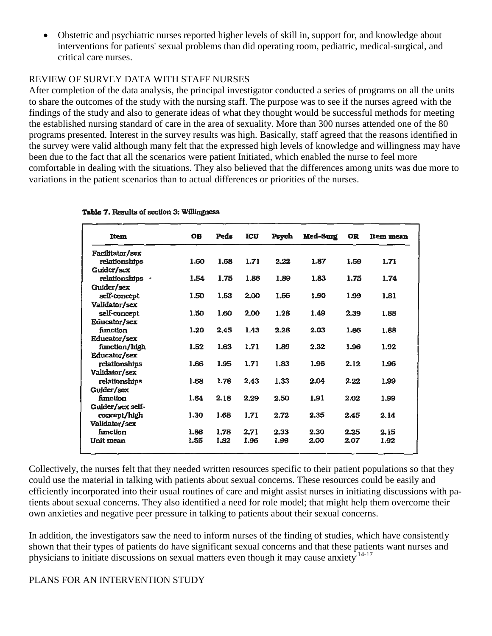Obstetric and psychiatric nurses reported higher levels of skill in, support for, and knowledge about interventions for patients' sexual problems than did operating room, pediatric, medical-surgical, and critical care nurses.

# REVIEW OF SURVEY DATA WITH STAFF NURSES

After completion of the data analysis, the principal investigator conducted a series of programs on all the units to share the outcomes of the study with the nursing staff. The purpose was to see if the nurses agreed with the findings of the study and also to generate ideas of what they thought would be successful methods for meeting the established nursing standard of care in the area of sexuality. More than 300 nurses attended one of the 80 programs presented. Interest in the survey results was high. Basically, staff agreed that the reasons identified in the survey were valid although many felt that the expressed high levels of knowledge and willingness may have been due to the fact that all the scenarios were patient Initiated, which enabled the nurse to feel more comfortable in dealing with the situations. They also believed that the differences among units was due more to variations in the patient scenarios than to actual differences or priorities of the nurses.

| Item             | <b>OB</b> | Peds | <b>ICU</b> | Psych | Med-Surg | OR   | <b>Item mean</b> |
|------------------|-----------|------|------------|-------|----------|------|------------------|
| Facilitator/sex  |           |      |            |       |          |      |                  |
| relationships    | 1.60      | 1.68 | 1.71       | 2.22  | 1.87     | 1.59 | 1.71             |
| Guider/sex       |           |      |            |       |          |      |                  |
| relationships ·  | 1.54      | 1.75 | 1.86       | 1.89  | 1.83     | 1.75 | 1.74             |
| Guider/sex       |           |      |            |       |          |      |                  |
| self-concept     | 1.50      | 1.53 | 2.00       | 1.56  | 1.90     | 1.99 | 1.81             |
| Validator/sex    |           |      |            |       |          |      |                  |
| self-concept     | 1.50      | 1.60 | 2.00       | 1.28  | 1.49     | 2.39 | 1.88             |
| Equeator/sex     |           |      |            |       |          |      |                  |
| function         | 1.20      | 2.45 | 1.43       | 2.28  | 2.03     | 1.86 | 1.88             |
| Educator/sex     |           |      |            |       |          |      |                  |
| function/high    | 1.52      | 1.63 | 1.71       | 1.89  | 2.32     | 1.96 | 1.92             |
| Educator/sex     |           |      |            |       |          |      |                  |
| relationships    | 1.66      | 1.95 | 1.71       | 1.83  | 1.96     | 2.12 | 1.96             |
| Validator/sex    |           |      |            |       |          |      |                  |
| relationships    | 1.68      | 1.78 | 2.43       | 1.33  | 2.04     | 2.22 | 1.99             |
| Guider/sex       |           |      |            |       |          |      |                  |
| function         | 1.64      | 2.18 | 2.29       | 2.50  | 1.91     | 2.02 | 1.99             |
| Guider/sex self- |           |      |            |       |          |      |                  |
| concept/high     | 1.30      | 1.68 | 1.71       | 2.72  | 2.35     | 2.45 | 2.14             |
| Validator/sex    |           |      |            |       |          |      |                  |
| function         | 1.86      | 1.78 | 2.71       | 2.33  | 2.30     | 2.25 | 2.15             |
| Unit mean        | 1.55      | 1.82 | 1.96       | 1.99  | 2.00     | 2.07 | 1.92             |
|                  |           |      |            |       |          |      |                  |

### Table 7. Results of section 3: Willingness

Collectively, the nurses felt that they needed written resources specific to their patient populations so that they could use the material in talking with patients about sexual concerns. These resources could be easily and efficiently incorporated into their usual routines of care and might assist nurses in initiating discussions with patients about sexual concerns. They also identified a need for role model; that might help them overcome their own anxieties and negative peer pressure in talking to patients about their sexual concerns.

In addition, the investigators saw the need to inform nurses of the finding of studies, which have consistently shown that their types of patients do have significant sexual concerns and that these patients want nurses and physicians to initiate discussions on sexual matters even though it may cause anxiety.<sup>14-17</sup>

### PLANS FOR AN INTERVENTION STUDY